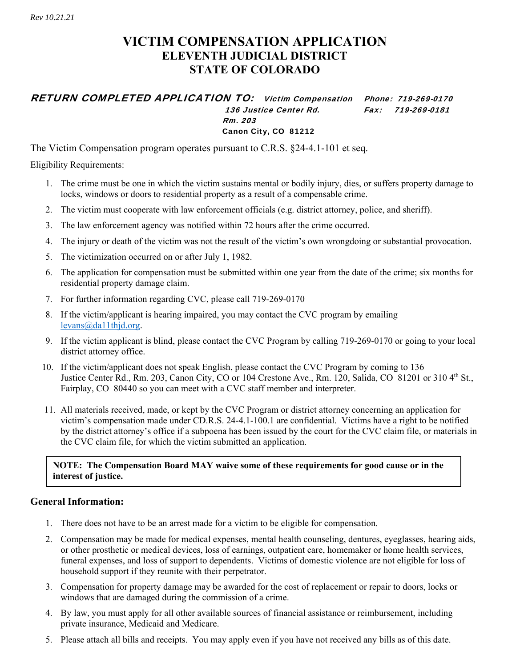## **VICTIM COMPENSATION APPLICATION ELEVENTH JUDICIAL DISTRICT STATE OF COLORADO**

### RETURN COMPLETED APPLICATION TO: Victim Compensation Phone: 719-269-0170 136 Justice Center Rd. Fax: 719-269-0181 Rm. 203 Canon City, CO 81212

The Victim Compensation program operates pursuant to C.R.S. §24-4.1-101 et seq.

Eligibility Requirements:

- 1. The crime must be one in which the victim sustains mental or bodily injury, dies, or suffers property damage to locks, windows or doors to residential property as a result of a compensable crime.
- 2. The victim must cooperate with law enforcement officials (e.g. district attorney, police, and sheriff).
- 3. The law enforcement agency was notified within 72 hours after the crime occurred.
- 4. The injury or death of the victim was not the result of the victim's own wrongdoing or substantial provocation.
- 5. The victimization occurred on or after July 1, 1982.
- 6. The application for compensation must be submitted within one year from the date of the crime; six months for residential property damage claim.
- 7. For further information regarding CVC, please call 719-269-0170
- 8. If the victim/applicant is hearing impaired, you may contact the CVC program by emailing levans@da11thjd.org.
- 9. If the victim applicant is blind, please contact the CVC Program by calling 719-269-0170 or going to your local district attorney office.
- 10. If the victim/applicant does not speak English, please contact the CVC Program by coming to 136 Justice Center Rd., Rm. 203, Canon City, CO or 104 Crestone Ave., Rm. 120, Salida, CO 81201 or 310 4th St., Fairplay, CO 80440 so you can meet with a CVC staff member and interpreter.
- 11. All materials received, made, or kept by the CVC Program or district attorney concerning an application for victim's compensation made under CD.R.S. 24-4.1-100.1 are confidential. Victims have a right to be notified by the district attorney's office if a subpoena has been issued by the court for the CVC claim file, or materials in the CVC claim file, for which the victim submitted an application.

### **NOTE: The Compensation Board MAY waive some of these requirements for good cause or in the interest of justice.**

### **General Information:**

- 1. There does not have to be an arrest made for a victim to be eligible for compensation.
- 2. Compensation may be made for medical expenses, mental health counseling, dentures, eyeglasses, hearing aids, or other prosthetic or medical devices, loss of earnings, outpatient care, homemaker or home health services, funeral expenses, and loss of support to dependents. Victims of domestic violence are not eligible for loss of household support if they reunite with their perpetrator.
- 3. Compensation for property damage may be awarded for the cost of replacement or repair to doors, locks or windows that are damaged during the commission of a crime.
- 4. By law, you must apply for all other available sources of financial assistance or reimbursement, including private insurance, Medicaid and Medicare.
- 5. Please attach all bills and receipts. You may apply even if you have not received any bills as of this date.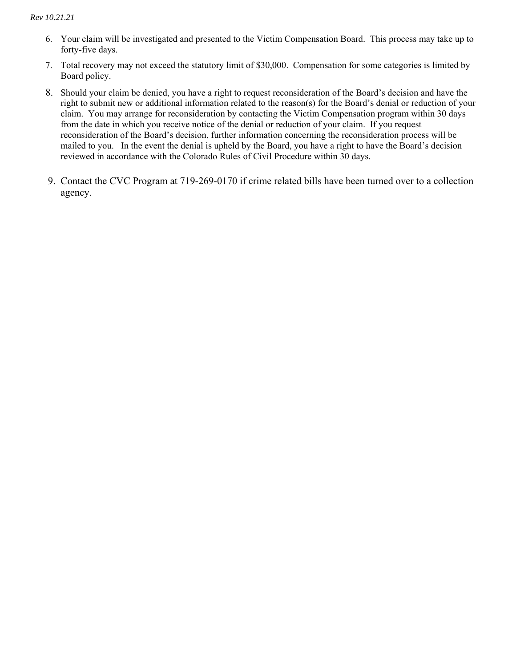#### *Rev 10.21.21*

- 6. Your claim will be investigated and presented to the Victim Compensation Board. This process may take up to forty-five days.
- 7. Total recovery may not exceed the statutory limit of \$30,000. Compensation for some categories is limited by Board policy.
- 8. Should your claim be denied, you have a right to request reconsideration of the Board's decision and have the right to submit new or additional information related to the reason(s) for the Board's denial or reduction of your claim. You may arrange for reconsideration by contacting the Victim Compensation program within 30 days from the date in which you receive notice of the denial or reduction of your claim. If you request reconsideration of the Board's decision, further information concerning the reconsideration process will be mailed to you. In the event the denial is upheld by the Board, you have a right to have the Board's decision reviewed in accordance with the Colorado Rules of Civil Procedure within 30 days.
- 9. Contact the CVC Program at 719-269-0170 if crime related bills have been turned over to a collection agency.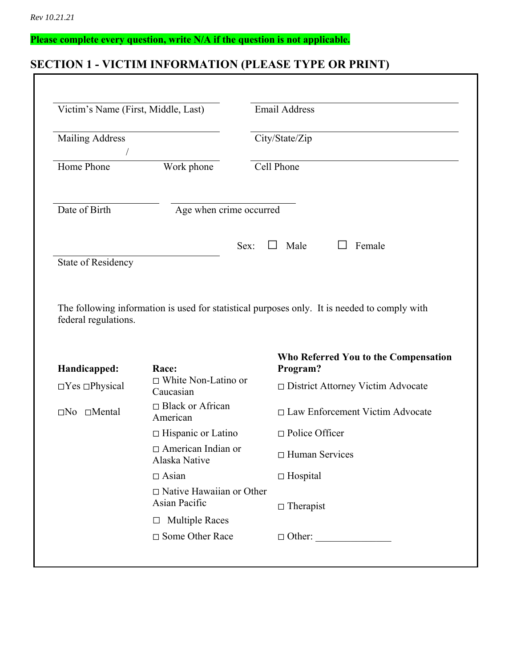# **Please complete every question, write N/A if the question is not applicable.**

# **SECTION 1 - VICTIM INFORMATION (PLEASE TYPE OR PRINT)**

| Victim's Name (First, Middle, Last)                                                                 |                                                  | <b>Email Address</b>                                                                         |  |  |
|-----------------------------------------------------------------------------------------------------|--------------------------------------------------|----------------------------------------------------------------------------------------------|--|--|
| <b>Mailing Address</b>                                                                              |                                                  | City/State/Zip                                                                               |  |  |
| Home Phone                                                                                          | Work phone                                       | Cell Phone                                                                                   |  |  |
| Date of Birth                                                                                       | Age when crime occurred                          |                                                                                              |  |  |
| <b>State of Residency</b>                                                                           | Sex:                                             | Male<br>Female<br>$\perp$                                                                    |  |  |
|                                                                                                     |                                                  |                                                                                              |  |  |
|                                                                                                     |                                                  | The following information is used for statistical purposes only. It is needed to comply with |  |  |
|                                                                                                     | Race:                                            | Who Referred You to the Compensation<br>Program?                                             |  |  |
|                                                                                                     | $\Box$ White Non-Latino or<br>Caucasian          | □ District Attorney Victim Advocate                                                          |  |  |
|                                                                                                     | □ Black or African<br>American                   | □ Law Enforcement Victim Advocate                                                            |  |  |
|                                                                                                     | $\Box$ Hispanic or Latino                        | $\Box$ Police Officer                                                                        |  |  |
|                                                                                                     | $\Box$ American Indian or<br>Alaska Native       | $\Box$ Human Services                                                                        |  |  |
|                                                                                                     | $\Box$ Asian                                     | $\Box$ Hospital                                                                              |  |  |
|                                                                                                     | $\Box$ Native Hawaiian or Other<br>Asian Pacific |                                                                                              |  |  |
| federal regulations.<br>Handicapped:<br>$\Box$ Yes $\Box$ Physical<br>$\square$ No $\square$ Mental | <b>Multiple Races</b><br>$\Box$                  | $\Box$ Therapist                                                                             |  |  |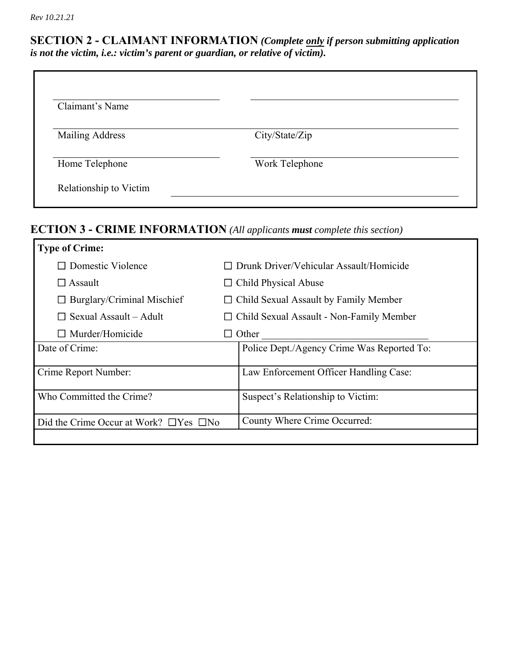### **SECTION 2 - CLAIMANT INFORMATION** *(Complete only if person submitting application is not the victim, i.e.: victim's parent or guardian, or relative of victim).*

| Claimant's Name        |                |  |
|------------------------|----------------|--|
| <b>Mailing Address</b> | City/State/Zip |  |
| Home Telephone         | Work Telephone |  |

# **ECTION 3 - CRIME INFORMATION** *(All applicants must complete this section)*

| <b>Type of Crime:</b>                             |                                                 |
|---------------------------------------------------|-------------------------------------------------|
| $\Box$ Domestic Violence                          | Drunk Driver/Vehicular Assault/Homicide         |
| $\Box$ Assault                                    | $\Box$ Child Physical Abuse                     |
| $\Box$ Burglary/Criminal Mischief                 | $\Box$ Child Sexual Assault by Family Member    |
| $\Box$ Sexual Assault – Adult                     | $\Box$ Child Sexual Assault - Non-Family Member |
| $\Box$ Murder/Homicide                            | Other                                           |
| Date of Crime:                                    | Police Dept./Agency Crime Was Reported To:      |
| Crime Report Number:                              | Law Enforcement Officer Handling Case:          |
|                                                   |                                                 |
| Who Committed the Crime?                          | Suspect's Relationship to Victim:               |
| Did the Crime Occur at Work? $\Box$ Yes $\Box$ No | County Where Crime Occurred:                    |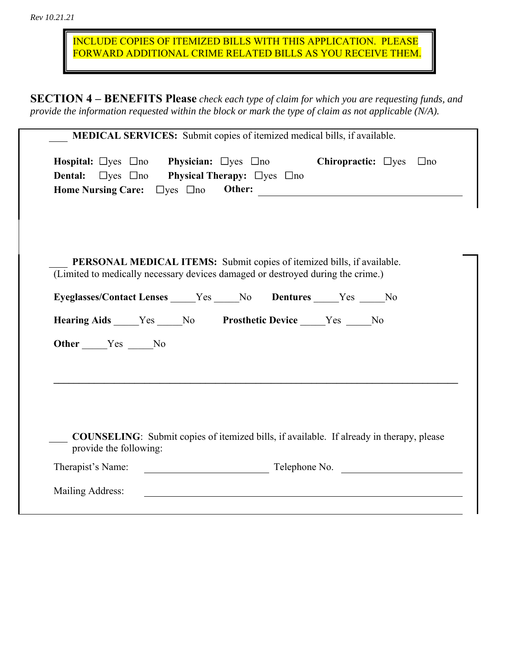INCLUDE COPIES OF ITEMIZED BILLS WITH THIS APPLICATION. PLEASE FORWARD ADDITIONAL CRIME RELATED BILLS AS YOU RECEIVE THEM.

**SECTION 4 – BENEFITS Please** *check each type of claim for which you are requesting funds, and provide the information requested within the block or mark the type of claim as not applicable (N/A).* 

| <b>Hospital:</b> $\Box$ yes $\Box$ no <b>Physician:</b> $\Box$ yes $\Box$ no      |  |  | Chiropractic: $\Box$ yes $\Box$ no                                                              |
|-----------------------------------------------------------------------------------|--|--|-------------------------------------------------------------------------------------------------|
| <b>Dental:</b> $\Box$ yes $\Box$ no <b>Physical Therapy:</b> $\Box$ yes $\Box$ no |  |  |                                                                                                 |
| Home Nursing Care: $\Box$ yes $\Box$ no                                           |  |  | Other:                                                                                          |
|                                                                                   |  |  |                                                                                                 |
|                                                                                   |  |  |                                                                                                 |
|                                                                                   |  |  |                                                                                                 |
| PERSONAL MEDICAL ITEMS: Submit copies of itemized bills, if available.            |  |  |                                                                                                 |
| (Limited to medically necessary devices damaged or destroyed during the crime.)   |  |  |                                                                                                 |
|                                                                                   |  |  |                                                                                                 |
| Eyeglasses/Contact Lenses _____Yes _____No Dentures _____Yes _____No              |  |  |                                                                                                 |
| Hearing Aids _____Yes _____No Prosthetic Device _____Yes _____No                  |  |  |                                                                                                 |
| Other Yes No                                                                      |  |  |                                                                                                 |
|                                                                                   |  |  |                                                                                                 |
|                                                                                   |  |  |                                                                                                 |
|                                                                                   |  |  |                                                                                                 |
|                                                                                   |  |  |                                                                                                 |
|                                                                                   |  |  |                                                                                                 |
|                                                                                   |  |  | <b>COUNSELING:</b> Submit copies of itemized bills, if available. If already in therapy, please |
| provide the following:                                                            |  |  |                                                                                                 |
|                                                                                   |  |  | Telephone No.                                                                                   |
| Therapist's Name:                                                                 |  |  |                                                                                                 |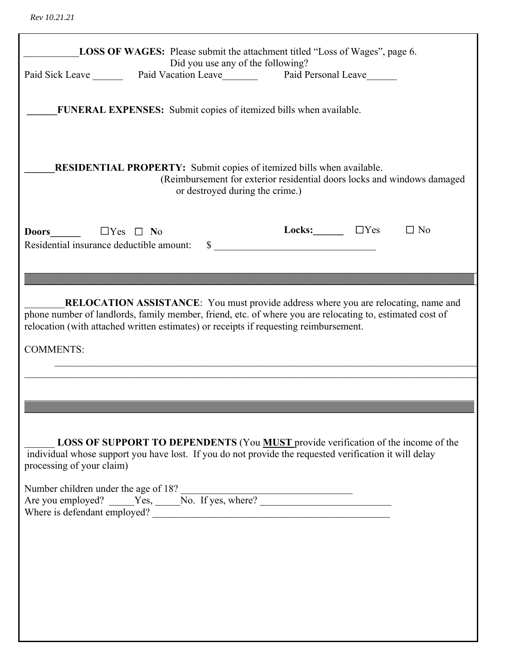|                           | <b>LOSS OF WAGES:</b> Please submit the attachment titled "Loss of Wages", page 6.<br>Did you use any of the following?                                                                                   |                                                                         |           |
|---------------------------|-----------------------------------------------------------------------------------------------------------------------------------------------------------------------------------------------------------|-------------------------------------------------------------------------|-----------|
|                           | Paid Sick Leave ________ Paid Vacation Leave _________ Paid Personal Leave ______                                                                                                                         |                                                                         |           |
|                           | FUNERAL EXPENSES: Submit copies of itemized bills when available.                                                                                                                                         |                                                                         |           |
|                           | <b>RESIDENTIAL PROPERTY:</b> Submit copies of itemized bills when available.<br>or destroyed during the crime.)                                                                                           | (Reimbursement for exterior residential doors locks and windows damaged |           |
|                           |                                                                                                                                                                                                           | Locks: $\Box$ $\Box$ Yes                                                | $\Box$ No |
|                           | <b>RELOCATION ASSISTANCE:</b> You must provide address where you are relocating, name and                                                                                                                 |                                                                         |           |
|                           | phone number of landlords, family member, friend, etc. of where you are relocating to, estimated cost of<br>relocation (with attached written estimates) or receipts if requesting reimbursement.         |                                                                         |           |
| <b>COMMENTS:</b>          |                                                                                                                                                                                                           |                                                                         |           |
|                           |                                                                                                                                                                                                           |                                                                         |           |
|                           |                                                                                                                                                                                                           |                                                                         |           |
| processing of your claim) | <b>LOSS OF SUPPORT TO DEPENDENTS</b> (You <b>MUST</b> provide verification of the income of the<br>individual whose support you have lost. If you do not provide the requested verification it will delay |                                                                         |           |
|                           |                                                                                                                                                                                                           |                                                                         |           |
|                           |                                                                                                                                                                                                           |                                                                         |           |
|                           |                                                                                                                                                                                                           |                                                                         |           |
|                           |                                                                                                                                                                                                           |                                                                         |           |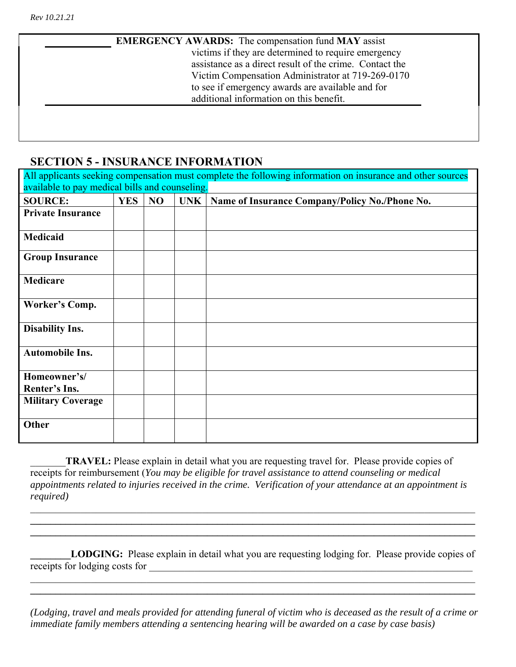**EMERGENCY AWARDS:** The compensation fund **MAY** assist victims if they are determined to require emergency assistance as a direct result of the crime. Contact the Victim Compensation Administrator at 719-269-0170 to see if emergency awards are available and for additional information on this benefit.

## **SECTION 5 - INSURANCE INFORMATION**

| All applicants seeking compensation must complete the following information on insurance and other sources |            |    |            |                                                |  |  |
|------------------------------------------------------------------------------------------------------------|------------|----|------------|------------------------------------------------|--|--|
| available to pay medical bills and counseling.                                                             |            |    |            |                                                |  |  |
| <b>SOURCE:</b>                                                                                             | <b>YES</b> | NO | <b>UNK</b> | Name of Insurance Company/Policy No./Phone No. |  |  |
| <b>Private Insurance</b>                                                                                   |            |    |            |                                                |  |  |
|                                                                                                            |            |    |            |                                                |  |  |
| Medicaid                                                                                                   |            |    |            |                                                |  |  |
| <b>Group Insurance</b>                                                                                     |            |    |            |                                                |  |  |
| Medicare                                                                                                   |            |    |            |                                                |  |  |
| Worker's Comp.                                                                                             |            |    |            |                                                |  |  |
| <b>Disability Ins.</b>                                                                                     |            |    |            |                                                |  |  |
| <b>Automobile Ins.</b>                                                                                     |            |    |            |                                                |  |  |
| Homeowner's/<br>Renter's Ins.                                                                              |            |    |            |                                                |  |  |
| <b>Military Coverage</b>                                                                                   |            |    |            |                                                |  |  |
| Other                                                                                                      |            |    |            |                                                |  |  |

\_\_\_\_\_\_\_**TRAVEL:** Please explain in detail what you are requesting travel for. Please provide copies of receipts for reimbursement (*You may be eligible for travel assistance to attend counseling or medical appointments related to injuries received in the crime. Verification of your attendance at an appointment is required)*

LODGING: Please explain in detail what you are requesting lodging for. Please provide copies of receipts for lodging costs for \_\_\_\_\_\_\_\_\_\_\_\_\_\_\_\_\_\_\_\_\_\_\_\_\_\_\_\_\_\_\_\_\_\_\_\_\_\_\_\_\_\_\_\_\_\_\_\_\_\_\_\_\_\_\_\_\_\_\_\_\_\_\_\_

**\_\_\_\_\_\_\_\_\_\_\_\_\_\_\_\_\_\_\_\_\_\_\_\_\_\_\_\_\_\_\_\_\_\_\_\_\_\_\_\_\_\_\_\_\_\_\_\_\_\_\_\_\_\_\_\_\_\_\_\_\_\_\_\_\_\_\_\_\_\_\_\_\_\_\_\_\_\_\_\_\_\_\_\_\_\_\_\_**  $\mathcal{L}_\mathcal{L} = \mathcal{L}_\mathcal{L} = \mathcal{L}_\mathcal{L} = \mathcal{L}_\mathcal{L} = \mathcal{L}_\mathcal{L} = \mathcal{L}_\mathcal{L} = \mathcal{L}_\mathcal{L} = \mathcal{L}_\mathcal{L} = \mathcal{L}_\mathcal{L} = \mathcal{L}_\mathcal{L} = \mathcal{L}_\mathcal{L} = \mathcal{L}_\mathcal{L} = \mathcal{L}_\mathcal{L} = \mathcal{L}_\mathcal{L} = \mathcal{L}_\mathcal{L} = \mathcal{L}_\mathcal{L} = \mathcal{L}_\mathcal{L}$ 

*(Lodging, travel and meals provided for attending funeral of victim who is deceased as the result of a crime or immediate family members attending a sentencing hearing will be awarded on a case by case basis)* 

 $\mathcal{L}_\mathcal{L} = \mathcal{L}_\mathcal{L} = \mathcal{L}_\mathcal{L} = \mathcal{L}_\mathcal{L} = \mathcal{L}_\mathcal{L} = \mathcal{L}_\mathcal{L} = \mathcal{L}_\mathcal{L} = \mathcal{L}_\mathcal{L} = \mathcal{L}_\mathcal{L} = \mathcal{L}_\mathcal{L} = \mathcal{L}_\mathcal{L} = \mathcal{L}_\mathcal{L} = \mathcal{L}_\mathcal{L} = \mathcal{L}_\mathcal{L} = \mathcal{L}_\mathcal{L} = \mathcal{L}_\mathcal{L} = \mathcal{L}_\mathcal{L}$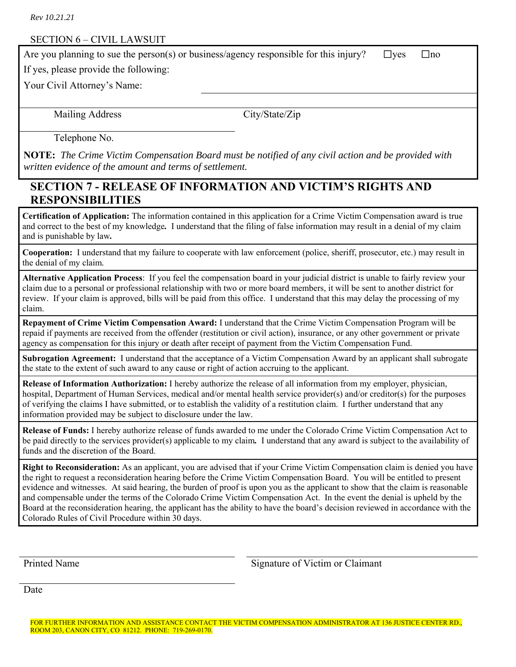### SECTION 6 – CIVIL LAWSUIT

Are you planning to sue the person(s) or business/agency responsible for this injury?  $\Box$  yes  $\Box$  no

If yes, please provide the following:

Your Civil Attorney's Name:

Mailing Address City/State/Zip

Telephone No.

**NOTE:** *The Crime Victim Compensation Board must be notified of any civil action and be provided with written evidence of the amount and terms of settlement.*

## **SECTION 7 - RELEASE OF INFORMATION AND VICTIM'S RIGHTS AND RESPONSIBILITIES**

**Certification of Application:** The information contained in this application for a Crime Victim Compensation award is true and correct to the best of my knowledge*.* I understand that the filing of false information may result in a denial of my claim and is punishable by law*.*

**Cooperation:** I understand that my failure to cooperate with law enforcement (police, sheriff, prosecutor, etc.) may result in the denial of my claim*.*

**Alternative Application Process**: If you feel the compensation board in your judicial district is unable to fairly review your claim due to a personal or professional relationship with two or more board members, it will be sent to another district for review. If your claim is approved, bills will be paid from this office. I understand that this may delay the processing of my claim.

**Repayment of Crime Victim Compensation Award:** I understand that the Crime Victim Compensation Program will be repaid if payments are received from the offender (restitution or civil action), insurance, or any other government or private agency as compensation for this injury or death after receipt of payment from the Victim Compensation Fund.

**Subrogation Agreement:** I understand that the acceptance of a Victim Compensation Award by an applicant shall subrogate the state to the extent of such award to any cause or right of action accruing to the applicant.

**Release of Information Authorization:** I hereby authorize the release of all information from my employer, physician, hospital, Department of Human Services, medical and/or mental health service provider(s) and/or creditor(s) for the purposes of verifying the claims I have submitted, or to establish the validity of a restitution claim. I further understand that any information provided may be subject to disclosure under the law.

**Release of Funds:** I hereby authorize release of funds awarded to me under the Colorado Crime Victim Compensation Act to be paid directly to the services provider(s) applicable to my claim*.* I understand that any award is subject to the availability of funds and the discretion of the Board.

**Right to Reconsideration:** As an applicant, you are advised that if your Crime Victim Compensation claim is denied you have the right to request a reconsideration hearing before the Crime Victim Compensation Board. You will be entitled to present evidence and witnesses. At said hearing, the burden of proof is upon you as the applicant to show that the claim is reasonable and compensable under the terms of the Colorado Crime Victim Compensation Act. In the event the denial is upheld by the Board at the reconsideration hearing, the applicant has the ability to have the board's decision reviewed in accordance with the Colorado Rules of Civil Procedure within 30 days.

Printed Name Signature of Victim or Claimant

Date

FOR FURTHER INFORMATION AND ASSISTANCE CONTACT THE VICTIM COMPENSATION ADMINISTRATOR AT 136 JUSTICE CENTER RD., ROOM 203, CANON CITY, CO 81212. PHONE: 719-269-0170.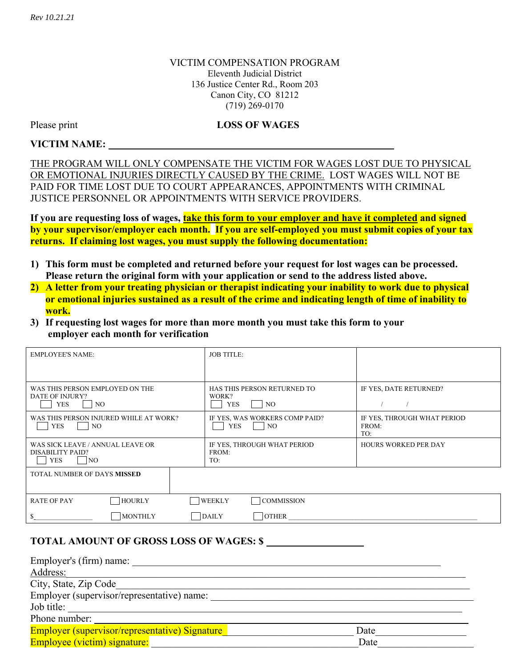### VICTIM COMPENSATION PROGRAM Eleventh Judicial District 136 Justice Center Rd., Room 203 Canon City, CO 81212 (719) 269-0170

### Please print **LOSS OF WAGES**

### **VICTIM NAME:**

THE PROGRAM WILL ONLY COMPENSATE THE VICTIM FOR WAGES LOST DUE TO PHYSICAL OR EMOTIONAL INJURIES DIRECTLY CAUSED BY THE CRIME. LOST WAGES WILL NOT BE PAID FOR TIME LOST DUE TO COURT APPEARANCES, APPOINTMENTS WITH CRIMINAL JUSTICE PERSONNEL OR APPOINTMENTS WITH SERVICE PROVIDERS.

If you are requesting loss of wages, **take this form to your employer and have it completed and signed by your supervisor/employer each month. If you are self-employed you must submit copies of your tax returns. If claiming lost wages, you must supply the following documentation:** 

- **1) This form must be completed and returned before your request for lost wages can be processed. Please return the original form with your application or send to the address listed above.**
- **2) A letter from your treating physician or therapist indicating your inability to work due to physical or emotional injuries sustained as a result of the crime and indicating length of time of inability to work.**
- **3) If requesting lost wages for more than more month you must take this form to your employer each month for verification**

| <b>EMPLOYEE'S NAME:</b>                                                        | <b>JOB TITLE:</b>                                              |                                             |
|--------------------------------------------------------------------------------|----------------------------------------------------------------|---------------------------------------------|
| WAS THIS PERSON EMPLOYED ON THE<br>DATE OF INJURY?<br><b>YES</b><br>NO.        | HAS THIS PERSON RETURNED TO<br>WORK?<br><b>YES</b><br>NO.      | IF YES, DATE RETURNED?                      |
| WAS THIS PERSON INJURED WHILE AT WORK?<br><b>YES</b><br>NO.                    | IF YES, WAS WORKERS COMP PAID?<br>N <sub>O</sub><br><b>YES</b> | IF YES, THROUGH WHAT PERIOD<br>FROM:<br>TO: |
| WAS SICK LEAVE / ANNUAL LEAVE OR<br>DISABILITY PAID?<br>YES<br>NO <sub>1</sub> | IF YES, THROUGH WHAT PERIOD<br>FROM:<br>TO:                    | <b>HOURS WORKED PER DAY</b>                 |
| TOTAL NUMBER OF DAYS MISSED                                                    |                                                                |                                             |
| <b>HOURLY</b><br><b>RATE OF PAY</b>                                            | <b>WEEKLY</b><br><b>COMMISSION</b>                             |                                             |
| <b>MONTHLY</b>                                                                 | DAILY<br><b>OTHER</b>                                          |                                             |

### **TOTAL AMOUNT OF GROSS LOSS OF WAGES: \$**

| Employer's (firm) name:                        |      |
|------------------------------------------------|------|
| Address:                                       |      |
| City, State, Zip Code                          |      |
| Employer (supervisor/representative) name:     |      |
| Job title:                                     |      |
| Phone number:                                  |      |
| Employer (supervisor/representative) Signature | Date |
| <b>Employee (victim) signature:</b>            | Date |